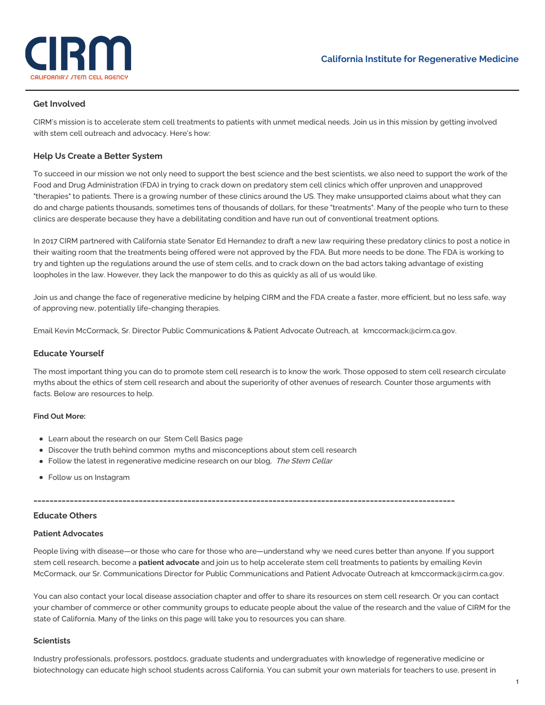

## **Get Involved**

CIRM's mission is to accelerate stem cell treatments to patients with unmet medical needs. Join us in this mission by getting involved with stem cell outreach and advocacy. Here's how:

#### **Help Us Create a Better System**

To succeed in our mission we not only need to support the best science and the best scientists, we also need to support the work of the Food and Drug Administration (FDA) in trying to crack down on predatory stem cell clinics which offer unproven and unapproved "therapies" to patients. There is a growing number of these clinics around the US. They make unsupported claims about what they can do and charge patients thousands, sometimes tens of thousands of dollars, for these "treatments". Many of the people who turn to these clinics are desperate because they have a debilitating condition and have run out of conventional treatment options.

In 2017 CIRM partnered with California state Senator Ed Hernandez to draft a new law requiring these predatory clinics to post a notice in their waiting room that the treatments being offered were not approved by the FDA. But more needs to be done. The FDA is working to try and tighten up the regulations around the use of stem cells, and to crack down on the bad actors taking advantage of existing loopholes in the law. However, they lack the manpower to do this as quickly as all of us would like.

Join us and change the face of regenerative medicine by helping CIRM and the FDA create a faster, more efficient, but no less safe, way of approving new, potentially life-changing therapies.

Email Kevin McCormack, Sr. Director Public Communications & Patient Advocate Outreach, at [kmccormack@cirm.ca.gov](mailto:kmccormack@cirm.ca.gov).

#### **Educate Yourself**

The most important thing you can do to promote stem cell research is to know the work. Those opposed to stem cell research circulate myths about the ethics of stem cell research and about the superiority of other avenues of research. Counter those arguments with facts. Below are resources to help.

#### **Find Out More:**

- Learn about the research on our Stem Cell [Basics](https://www.cirm.ca.gov/our-progress/stem-cell-basics) page
- Discover the truth behind common myths and [misconceptions](https://www.cirm.ca.gov/our-progress/myths-and-misconceptions-about-stem-cell-research) about stem cell research
- Follow the latest in regenerative medicine research on our blog, The Stem [Cellar](http://blog.cirm.ca.gov)
- Follow us on Instagram

## **\_\_\_\_\_\_\_\_\_\_\_\_\_\_\_\_\_\_\_\_\_\_\_\_\_\_\_\_\_\_\_\_\_\_\_\_\_\_\_\_\_\_\_\_\_\_\_\_\_\_\_\_\_\_\_\_\_\_\_\_\_\_\_\_\_\_\_\_\_\_\_\_\_\_\_\_\_\_\_\_\_\_\_\_\_\_\_\_\_\_\_\_\_\_\_\_\_\_\_\_\_\_\_\_**

## **Educate Others**

#### **Patient Advocates**

People living with disease—or those who care for those who are—understand why we need cures better than anyone. If you support stem cell research, become a **patient advocate** and join us to help accelerate stem cell treatments to patients by emailing Kevin McCormack, our Sr. Communications Director for Public Communications and Patient Advocate Outreach at [kmccormack@cirm.ca.gov](mailto:kmccormack@cirm.ca.gov).

You can also contact your local disease association chapter and offer to share its resources on stem cell research. Or you can contact your chamber of commerce or other community groups to educate people about the value of the research and the value of CIRM for the state of California. Many of the links on this page will take you to resources you can share.

#### **Scientists**

Industry professionals, professors, postdocs, graduate students and undergraduates with knowledge of regenerative medicine or biotechnology can educate high school students across California. You can submit your own materials for teachers to use, present in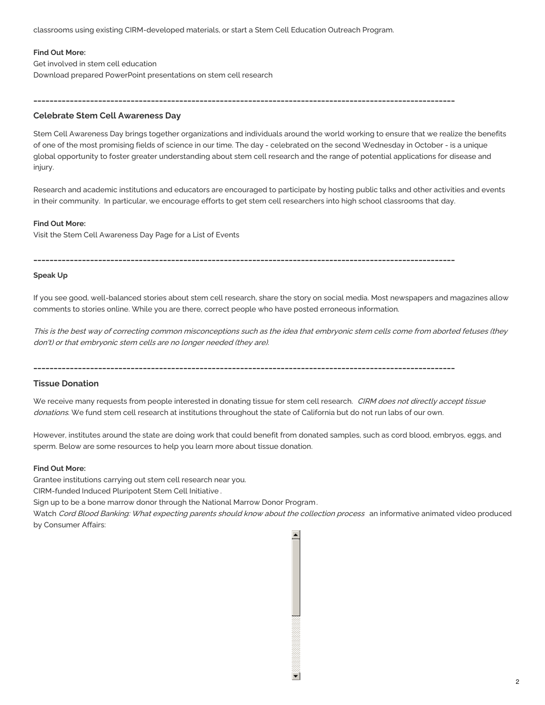classrooms using existing CIRM-developed materials, or start a Stem Cell Education Outreach Program.

#### **Find Out More:**

Get involved in stem cell [education](https://www.cirm.ca.gov/our-progress/educate-others) Download prepared PowerPoint [presentations](https://www.cirm.ca.gov/our-progress/introductory-lessons-stem-cells-and-regenerative-medicine) on stem cell research

## **Celebrate Stem Cell Awareness Day**

Stem Cell Awareness Day brings together organizations and individuals around the world working to ensure that we realize the benefits of one of the most promising fields of science in our time. The day - celebrated on the second Wednesday in October - is a unique global opportunity to foster greater understanding about stem cell research and the range of potential applications for disease and injury.

Research and academic institutions and educators are encouraged to participate by hosting public talks and other activities and events in their community. In particular, we encourage efforts to get stem cell researchers into high school classrooms that day.

#### **Find Out More:**

Visit the Stem Cell [Awareness](https://www.cirm.ca.gov/our-progress/stem-cell-awareness-day) Day Page for a List of Events

## **\_\_\_\_\_\_\_\_\_\_\_\_\_\_\_\_\_\_\_\_\_\_\_\_\_\_\_\_\_\_\_\_\_\_\_\_\_\_\_\_\_\_\_\_\_\_\_\_\_\_\_\_\_\_\_\_\_\_\_\_\_\_\_\_\_\_\_\_\_\_\_\_\_\_\_\_\_\_\_\_\_\_\_\_\_\_\_\_\_\_\_\_\_\_\_\_\_\_\_\_\_\_\_\_**

**\_\_\_\_\_\_\_\_\_\_\_\_\_\_\_\_\_\_\_\_\_\_\_\_\_\_\_\_\_\_\_\_\_\_\_\_\_\_\_\_\_\_\_\_\_\_\_\_\_\_\_\_\_\_\_\_\_\_\_\_\_\_\_\_\_\_\_\_\_\_\_\_\_\_\_\_\_\_\_\_\_\_\_\_\_\_\_\_\_\_\_\_\_\_\_\_\_\_\_\_\_\_\_\_**

#### **Speak Up**

If you see good, well-balanced stories about stem cell research, share the story on social media. Most newspapers and magazines allow comments to stories online. While you are there, correct people who have posted erroneous information.

This is the best way of correcting common misconceptions such as the idea that embryonic stem cells come from aborted fetuses (they don't) or that embryonic stem cells are no longer needed (they are).

**\_\_\_\_\_\_\_\_\_\_\_\_\_\_\_\_\_\_\_\_\_\_\_\_\_\_\_\_\_\_\_\_\_\_\_\_\_\_\_\_\_\_\_\_\_\_\_\_\_\_\_\_\_\_\_\_\_\_\_\_\_\_\_\_\_\_\_\_\_\_\_\_\_\_\_\_\_\_\_\_\_\_\_\_\_\_\_\_\_\_\_\_\_\_\_\_\_\_\_\_\_\_\_\_**

## **Tissue Donation**

We receive many requests from people interested in donating tissue for stem cell research. CIRM does not directly accept tissue donations. We fund stem cell research at institutions throughout the state of California but do not run labs of our own.

However, institutes around the state are doing work that could benefit from donated samples, such as cord blood, embryos, eggs, and sperm. Below are some resources to help you learn more about tissue donation.

#### **Find Out More:**

Grantee [institutions](https://www.cirm.ca.gov/InstitutionList) carrying out stem cell research near you.

CIRM-funded Induced [Pluripotent](https://www.cirm.ca.gov/researchers/ipsc-initiative) Stem Cell Initiative .

Sign up to be a bone marrow donor through the National Marrow Donor [Program](http://bethematch.org/support-the-cause/donate-bone-marrow/join-the-marrow-registry/).

Watch Cord Blood Banking: What [expecting](https://www.consumeraffairs.com/health/cord-blood/#how-it-works) parents should know about the collection process an informative animated video produced by Consumer Affairs: